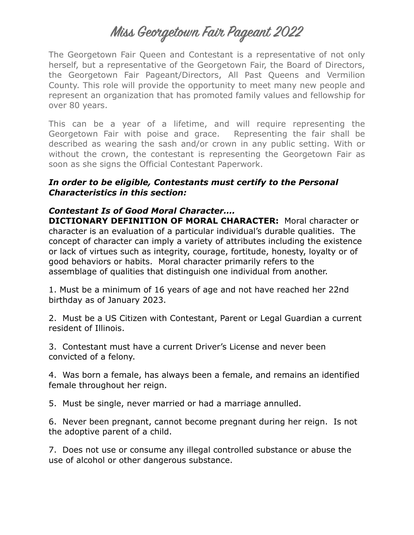# **Miss Georgetown Fair Pageant 2022**

The Georgetown Fair Queen and Contestant is a representative of not only herself, but a representative of the Georgetown Fair, the Board of Directors, the Georgetown Fair Pageant/Directors, All Past Queens and Vermilion County. This role will provide the opportunity to meet many new people and represent an organization that has promoted family values and fellowship for over 80 years.

This can be a year of a lifetime, and will require representing the Georgetown Fair with poise and grace. Representing the fair shall be described as wearing the sash and/or crown in any public setting. With or without the crown, the contestant is representing the Georgetown Fair as soon as she signs the Official Contestant Paperwork.

#### *In order to be eligible, Contestants must certify to the Personal Characteristics in this section:*

## *Contestant Is of Good Moral Character….*

**DICTIONARY DEFINITION OF MORAL CHARACTER:** Moral character or character is an evaluation of a particular individual's durable qualities. The concept of character can imply a variety of attributes including the existence or lack of virtues such as integrity, courage, fortitude, honesty, loyalty or of good behaviors or habits. Moral character primarily refers to the assemblage of qualities that distinguish one individual from another.

1. Must be a minimum of 16 years of age and not have reached her 22nd birthday as of January 2023.

2. Must be a US Citizen with Contestant, Parent or Legal Guardian a current resident of Illinois.

3. Contestant must have a current Driver's License and never been convicted of a felony.

4. Was born a female, has always been a female, and remains an identified female throughout her reign.

5. Must be single, never married or had a marriage annulled.

6. Never been pregnant, cannot become pregnant during her reign. Is not the adoptive parent of a child.

7. Does not use or consume any illegal controlled substance or abuse the use of alcohol or other dangerous substance.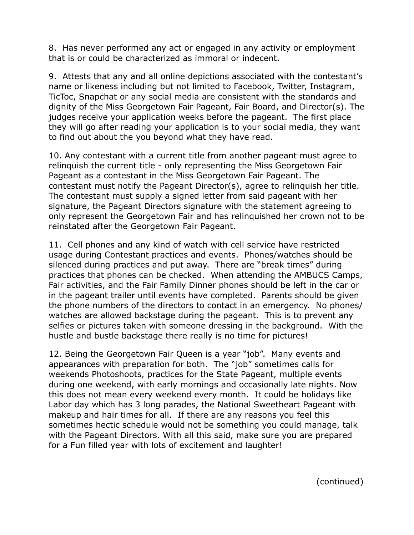8. Has never performed any act or engaged in any activity or employment that is or could be characterized as immoral or indecent.

9. Attests that any and all online depictions associated with the contestant's name or likeness including but not limited to Facebook, Twitter, Instagram, TicToc, Snapchat or any social media are consistent with the standards and dignity of the Miss Georgetown Fair Pageant, Fair Board, and Director(s). The judges receive your application weeks before the pageant. The first place they will go after reading your application is to your social media, they want to find out about the you beyond what they have read.

10. Any contestant with a current title from another pageant must agree to relinquish the current title - only representing the Miss Georgetown Fair Pageant as a contestant in the Miss Georgetown Fair Pageant. The contestant must notify the Pageant Director(s), agree to relinquish her title. The contestant must supply a signed letter from said pageant with her signature, the Pageant Directors signature with the statement agreeing to only represent the Georgetown Fair and has relinquished her crown not to be reinstated after the Georgetown Fair Pageant.

11. Cell phones and any kind of watch with cell service have restricted usage during Contestant practices and events. Phones/watches should be silenced during practices and put away. There are "break times" during practices that phones can be checked. When attending the AMBUCS Camps, Fair activities, and the Fair Family Dinner phones should be left in the car or in the pageant trailer until events have completed. Parents should be given the phone numbers of the directors to contact in an emergency. No phones/ watches are allowed backstage during the pageant. This is to prevent any selfies or pictures taken with someone dressing in the background. With the hustle and bustle backstage there really is no time for pictures!

12. Being the Georgetown Fair Queen is a year "job". Many events and appearances with preparation for both. The "job" sometimes calls for weekends Photoshoots, practices for the State Pageant, multiple events during one weekend, with early mornings and occasionally late nights. Now this does not mean every weekend every month. It could be holidays like Labor day which has 3 long parades, the National Sweetheart Pageant with makeup and hair times for all. If there are any reasons you feel this sometimes hectic schedule would not be something you could manage, talk with the Pageant Directors. With all this said, make sure you are prepared for a Fun filled year with lots of excitement and laughter!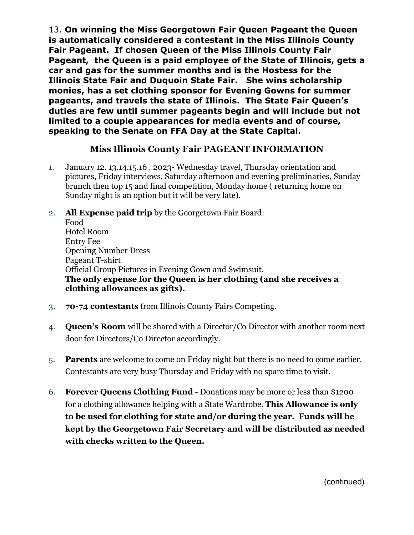13. **On winning the Miss Georgetown Fair Queen Pageant the Queen is automatically considered a contestant in the Miss Illinois County Fair Pageant. If chosen Queen of the Miss Illinois County Fair Pageant, the Queen is a paid employee of the State of Illinois, gets a car and gas for the summer months and is the Hostess for the Illinois State Fair and Duquoin State Fair. She wins scholarship monies, has a set clothing sponsor for Evening Gowns for summer pageants, and travels the state of Illinois. The State Fair Queen's duties are few until summer pageants begin and will include but not limited to a couple appearances for media events and of course, speaking to the Senate on FFA Day at the State Capital.**

## **Miss Illinois County Fair PAGEANT INFORMATION**

- 1. January 12. 13.14.15.16 . 2023- Wednesday travel, Thursday orientation and pictures, Friday interviews, Saturday afternoon and evening preliminaries, Sunday brunch then top 15 and final competition, Monday home ( returning home on Sunday night is an option but it will be very late).
- 2. **All Expense paid trip** by the Georgetown Fair Board: Food Hotel Room Entry Fee Opening Number Dress Pageant T-shirt Official Group Pictures in Evening Gown and Swimsuit. **The only expense for the Queen is her clothing (and she receives a clothing allowances as gifts).**
- 3. **70-74 contestants** from Illinois County Fairs Competing.
- 4. **Queen's Room** will be shared with a Director/Co Director with another room next door for Directors/Co Director accordingly.
- 5. **Parents** are welcome to come on Friday night but there is no need to come earlier. Contestants are very busy Thursday and Friday with no spare time to visit.
- 6. **Forever Queens Clothing Fund** Donations may be more or less than \$1200 for a clothing allowance helping with a State Wardrobe. **This Allowance is only to be used for clothing for state and/or during the year. Funds will be kept by the Georgetown Fair Secretary and will be distributed as needed with checks written to the Queen.**

(continued)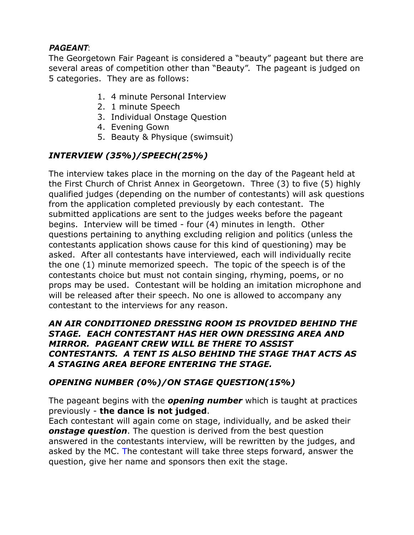# *PAGEANT*:

The Georgetown Fair Pageant is considered a "beauty" pageant but there are several areas of competition other than "Beauty". The pageant is judged on 5 categories. They are as follows:

- 1. 4 minute Personal Interview
- 2. 1 minute Speech
- 3. Individual Onstage Question
- 4. Evening Gown
- 5. Beauty & Physique (swimsuit)

# *INTERVIEW (35%)/SPEECH(25%)*

The interview takes place in the morning on the day of the Pageant held at the First Church of Christ Annex in Georgetown. Three (3) to five (5) highly qualified judges (depending on the number of contestants) will ask questions from the application completed previously by each contestant. The submitted applications are sent to the judges weeks before the pageant begins. Interview will be timed - four (4) minutes in length. Other questions pertaining to anything excluding religion and politics (unless the contestants application shows cause for this kind of questioning) may be asked. After all contestants have interviewed, each will individually recite the one (1) minute memorized speech. The topic of the speech is of the contestants choice but must not contain singing, rhyming, poems, or no props may be used. Contestant will be holding an imitation microphone and will be released after their speech. No one is allowed to accompany any contestant to the interviews for any reason.

#### *AN AIR CONDITIONED DRESSING ROOM IS PROVIDED BEHIND THE STAGE. EACH CONTESTANT HAS HER OWN DRESSING AREA AND MIRROR. PAGEANT CREW WILL BE THERE TO ASSIST CONTESTANTS. A TENT IS ALSO BEHIND THE STAGE THAT ACTS AS A STAGING AREA BEFORE ENTERING THE STAGE.*

## *OPENING NUMBER (0%)/ON STAGE QUESTION(15%)*

The pageant begins with the *opening number* which is taught at practices previously - **the dance is not judged**.

Each contestant will again come on stage, individually, and be asked their *onstage question*. The question is derived from the best question answered in the contestants interview, will be rewritten by the judges, and asked by the MC. The contestant will take three steps forward, answer the question, give her name and sponsors then exit the stage.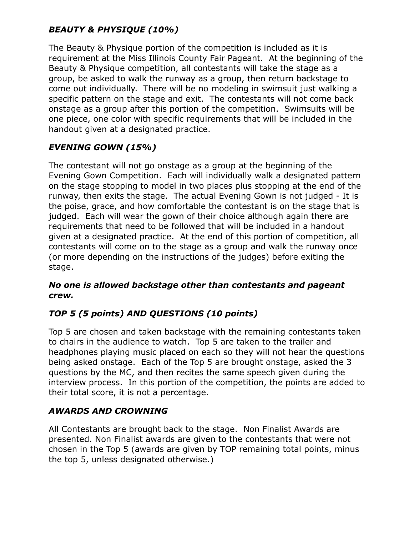# *BEAUTY & PHYSIQUE (10%)*

The Beauty & Physique portion of the competition is included as it is requirement at the Miss Illinois County Fair Pageant. At the beginning of the Beauty & Physique competition, all contestants will take the stage as a group, be asked to walk the runway as a group, then return backstage to come out individually. There will be no modeling in swimsuit just walking a specific pattern on the stage and exit. The contestants will not come back onstage as a group after this portion of the competition. Swimsuits will be one piece, one color with specific requirements that will be included in the handout given at a designated practice.

# *EVENING GOWN (15%)*

The contestant will not go onstage as a group at the beginning of the Evening Gown Competition. Each will individually walk a designated pattern on the stage stopping to model in two places plus stopping at the end of the runway, then exits the stage. The actual Evening Gown is not judged - It is the poise, grace, and how comfortable the contestant is on the stage that is judged. Each will wear the gown of their choice although again there are requirements that need to be followed that will be included in a handout given at a designated practice. At the end of this portion of competition, all contestants will come on to the stage as a group and walk the runway once (or more depending on the instructions of the judges) before exiting the stage.

## *No one is allowed backstage other than contestants and pageant crew.*

# *TOP 5 (5 points) AND QUESTIONS (10 points)*

Top 5 are chosen and taken backstage with the remaining contestants taken to chairs in the audience to watch. Top 5 are taken to the trailer and headphones playing music placed on each so they will not hear the questions being asked onstage. Each of the Top 5 are brought onstage, asked the 3 questions by the MC, and then recites the same speech given during the interview process. In this portion of the competition, the points are added to their total score, it is not a percentage.

# *AWARDS AND CROWNING*

All Contestants are brought back to the stage. Non Finalist Awards are presented. Non Finalist awards are given to the contestants that were not chosen in the Top 5 (awards are given by TOP remaining total points, minus the top 5, unless designated otherwise.)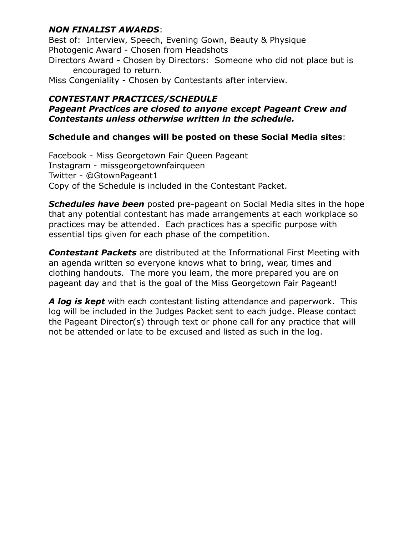## *NON FINALIST AWARDS*:

Best of: Interview, Speech, Evening Gown, Beauty & Physique Photogenic Award - Chosen from Headshots Directors Award - Chosen by Directors: Someone who did not place but is encouraged to return.

Miss Congeniality - Chosen by Contestants after interview.

#### *CONTESTANT PRACTICES/SCHEDULE Pageant Practices are closed to anyone except Pageant Crew and Contestants unless otherwise written in the schedule.*

#### **Schedule and changes will be posted on these Social Media sites**:

Facebook - Miss Georgetown Fair Queen Pageant Instagram - missgeorgetownfairqueen Twitter - @GtownPageant1 Copy of the Schedule is included in the Contestant Packet.

*Schedules have been* posted pre-pageant on Social Media sites in the hope that any potential contestant has made arrangements at each workplace so practices may be attended. Each practices has a specific purpose with essential tips given for each phase of the competition.

*Contestant Packets* are distributed at the Informational First Meeting with an agenda written so everyone knows what to bring, wear, times and clothing handouts. The more you learn, the more prepared you are on pageant day and that is the goal of the Miss Georgetown Fair Pageant!

*A log is kept* with each contestant listing attendance and paperwork. This log will be included in the Judges Packet sent to each judge. Please contact the Pageant Director(s) through text or phone call for any practice that will not be attended or late to be excused and listed as such in the log.